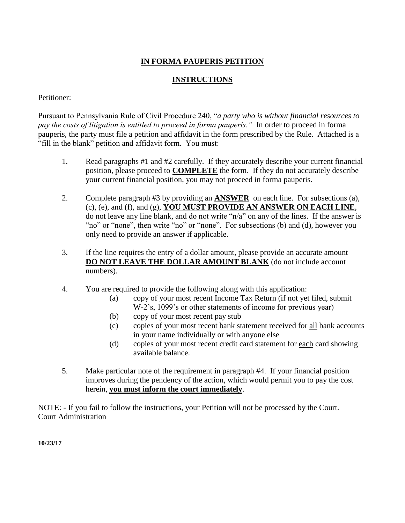### **IN FORMA PAUPERIS PETITION**

#### **INSTRUCTIONS**

#### Petitioner:

Pursuant to Pennsylvania Rule of Civil Procedure 240, "*a party who is without financial resources to pay the costs of litigation is entitled to proceed in forma pauperis."* In order to proceed in forma pauperis, the party must file a petition and affidavit in the form prescribed by the Rule. Attached is a "fill in the blank" petition and affidavit form. You must:

- 1. Read paragraphs #1 and #2 carefully. If they accurately describe your current financial position, please proceed to **COMPLETE** the form. If they do not accurately describe your current financial position, you may not proceed in forma pauperis.
- 2. Complete paragraph #3 by providing an **ANSWER** on each line. For subsections (a), (c), (e), and (f), and (g), **YOU MUST PROVIDE AN ANSWER ON EACH LINE**, do not leave any line blank, and <u>do not write "n/a"</u> on any of the lines. If the answer is "no" or "none", then write "no" or "none". For subsections (b) and (d), however you only need to provide an answer if applicable.
- 3. If the line requires the entry of a dollar amount, please provide an accurate amount **DO NOT LEAVE THE DOLLAR AMOUNT BLANK** (do not include account numbers).
- 4. You are required to provide the following along with this application:
	- (a) copy of your most recent Income Tax Return (if not yet filed, submit W-2's, 1099's or other statements of income for previous year)
	- (b) copy of your most recent pay stub
	- (c) copies of your most recent bank statement received for all bank accounts in your name individually or with anyone else
	- (d) copies of your most recent credit card statement for each card showing available balance.
- 5. Make particular note of the requirement in paragraph #4. If your financial position improves during the pendency of the action, which would permit you to pay the cost herein, **you must inform the court immediately**.

NOTE: - If you fail to follow the instructions, your Petition will not be processed by the Court. Court Administration

**10/23/17**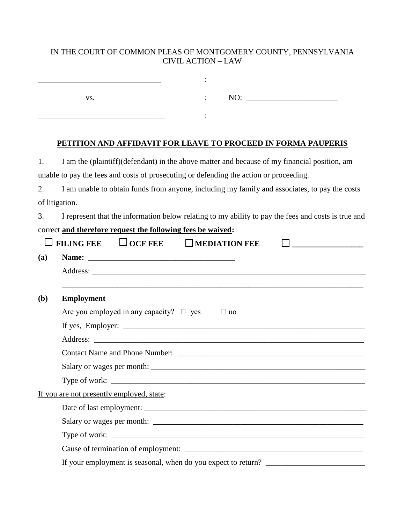## IN THE COURT OF COMMON PLEAS OF MONTGOMERY COUNTY, PENNSYLVANIA CIVIL ACTION – LAW

| VS. |  | NO: |  |
|-----|--|-----|--|
|     |  |     |  |
|     |  |     |  |

## **PETITION AND AFFIDAVIT FOR LEAVE TO PROCEED IN FORMA PAUPERIS**

| 1.             | I am the (plaintiff)(defendant) in the above matter and because of my financial position, am        |  |  |  |  |  |
|----------------|-----------------------------------------------------------------------------------------------------|--|--|--|--|--|
|                | unable to pay the fees and costs of prosecuting or defending the action or proceeding.              |  |  |  |  |  |
| 2.             | I am unable to obtain funds from anyone, including my family and associates, to pay the costs       |  |  |  |  |  |
| of litigation. |                                                                                                     |  |  |  |  |  |
| 3.             | I represent that the information below relating to my ability to pay the fees and costs is true and |  |  |  |  |  |
|                | correct and therefore request the following fees be waived:                                         |  |  |  |  |  |
|                | $\Box$ OCF FEE<br><b>FILING FEE</b><br>$\Box$ MEDIATION FEE<br>$\Box$ and the contract of $\Box$    |  |  |  |  |  |
| (a)            |                                                                                                     |  |  |  |  |  |
|                |                                                                                                     |  |  |  |  |  |
|                |                                                                                                     |  |  |  |  |  |
| <b>(b)</b>     | <b>Employment</b>                                                                                   |  |  |  |  |  |
|                | Are you employed in any capacity? $\square$ yes<br>$\Box$ no                                        |  |  |  |  |  |
|                |                                                                                                     |  |  |  |  |  |
|                |                                                                                                     |  |  |  |  |  |
|                |                                                                                                     |  |  |  |  |  |
|                |                                                                                                     |  |  |  |  |  |
|                | Type of work: $\_$                                                                                  |  |  |  |  |  |
|                | If you are not presently employed, state:                                                           |  |  |  |  |  |
|                |                                                                                                     |  |  |  |  |  |
|                |                                                                                                     |  |  |  |  |  |
|                |                                                                                                     |  |  |  |  |  |
|                |                                                                                                     |  |  |  |  |  |
|                |                                                                                                     |  |  |  |  |  |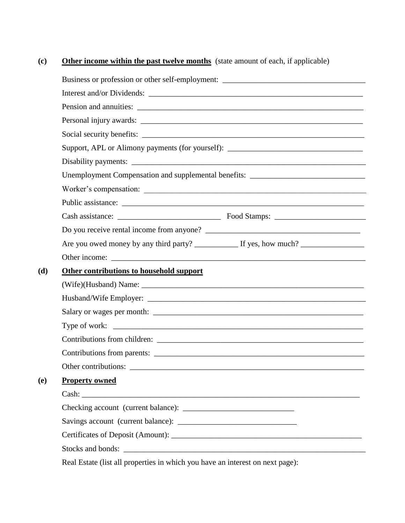# **(c) Other income within the past twelve months** (state amount of each, if applicable)

|            | Business or profession or other self-employment: ________________________________ |
|------------|-----------------------------------------------------------------------------------|
|            |                                                                                   |
|            |                                                                                   |
|            |                                                                                   |
|            | Social security benefits:                                                         |
|            | Support, APL or Alimony payments (for yourself): ________________________________ |
|            |                                                                                   |
|            | Unemployment Compensation and supplemental benefits: ____________________________ |
|            |                                                                                   |
|            |                                                                                   |
|            |                                                                                   |
|            |                                                                                   |
|            |                                                                                   |
|            |                                                                                   |
| (d)        | Other contributions to household support                                          |
|            |                                                                                   |
|            |                                                                                   |
|            |                                                                                   |
|            |                                                                                   |
|            |                                                                                   |
|            |                                                                                   |
|            | Other contributions:                                                              |
| <b>(e)</b> | <b>Property owned</b>                                                             |
|            |                                                                                   |
|            |                                                                                   |
|            |                                                                                   |
|            |                                                                                   |
|            |                                                                                   |
|            | Real Estate (list all properties in which you have an interest on next page):     |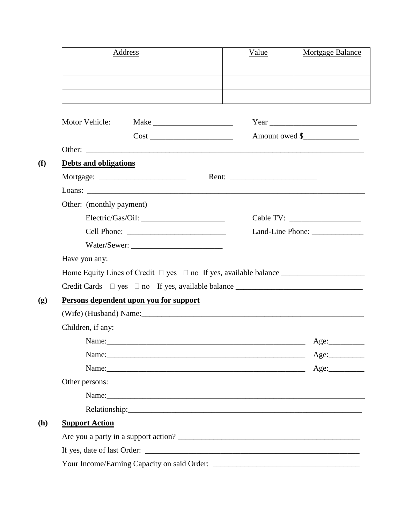| Address                                                                                                                                                                                                                        | Value | Mortgage Balance |
|--------------------------------------------------------------------------------------------------------------------------------------------------------------------------------------------------------------------------------|-------|------------------|
|                                                                                                                                                                                                                                |       |                  |
|                                                                                                                                                                                                                                |       |                  |
|                                                                                                                                                                                                                                |       |                  |
| Motor Vehicle:                                                                                                                                                                                                                 |       |                  |
|                                                                                                                                                                                                                                |       | Amount owed \$   |
|                                                                                                                                                                                                                                |       |                  |
| <b>Debts and obligations</b>                                                                                                                                                                                                   |       |                  |
|                                                                                                                                                                                                                                |       |                  |
|                                                                                                                                                                                                                                |       |                  |
| Other: (monthly payment)                                                                                                                                                                                                       |       |                  |
|                                                                                                                                                                                                                                |       |                  |
|                                                                                                                                                                                                                                |       |                  |
|                                                                                                                                                                                                                                |       |                  |
| Have you any:                                                                                                                                                                                                                  |       |                  |
|                                                                                                                                                                                                                                |       |                  |
| Credit Cards □ yes □ no If yes, available balance ______________________________                                                                                                                                               |       |                  |
| Persons dependent upon you for support                                                                                                                                                                                         |       |                  |
| (Wife) (Husband) Name: 1990 Mame: 1990 Manual Manual Manual Manual Manual Manual Manual Manual Manual Manual Ma                                                                                                                |       |                  |
| Children, if any:                                                                                                                                                                                                              |       |                  |
| Name:                                                                                                                                                                                                                          |       | Age:             |
| Name: <u>Age:</u> Age:                                                                                                                                                                                                         |       |                  |
| Name: <u>Age:</u> Age:                                                                                                                                                                                                         |       |                  |
| Other persons:                                                                                                                                                                                                                 |       |                  |
|                                                                                                                                                                                                                                |       |                  |
| Relationship: Network of the contract of the contract of the contract of the contract of the contract of the contract of the contract of the contract of the contract of the contract of the contract of the contract of the c |       |                  |
| <b>Support Action</b>                                                                                                                                                                                                          |       |                  |
|                                                                                                                                                                                                                                |       |                  |
|                                                                                                                                                                                                                                |       |                  |
|                                                                                                                                                                                                                                |       |                  |